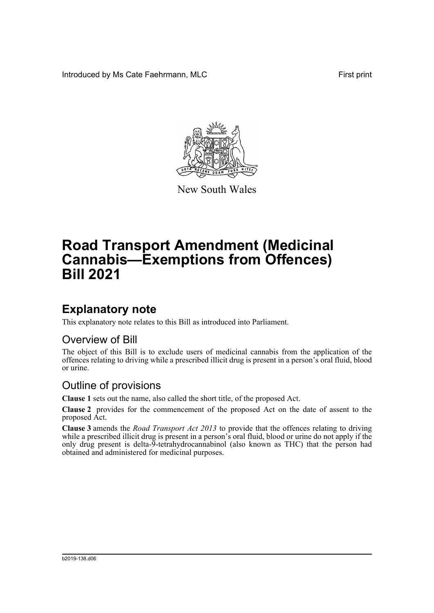Introduced by Ms Cate Faehrmann, MLC **First print** First print



New South Wales

# **Road Transport Amendment (Medicinal Cannabis—Exemptions from Offences) Bill 2021**

## **Explanatory note**

This explanatory note relates to this Bill as introduced into Parliament.

#### Overview of Bill

The object of this Bill is to exclude users of medicinal cannabis from the application of the offences relating to driving while a prescribed illicit drug is present in a person's oral fluid, blood or urine.

#### Outline of provisions

**Clause 1** sets out the name, also called the short title, of the proposed Act.

**Clause 2** provides for the commencement of the proposed Act on the date of assent to the proposed Act.

**Clause 3** amends the *Road Transport Act 2013* to provide that the offences relating to driving while a prescribed illicit drug is present in a person's oral fluid, blood or urine do not apply if the only drug present is delta-9-tetrahydrocannabinol (also known as THC) that the person had obtained and administered for medicinal purposes.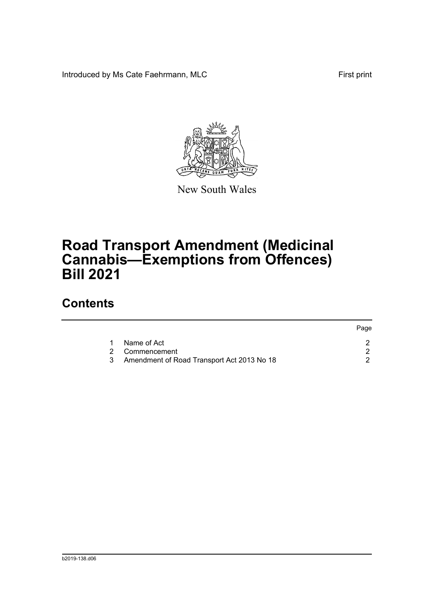Introduced by Ms Cate Faehrmann, MLC First print



New South Wales

# **Road Transport Amendment (Medicinal Cannabis—Exemptions from Offences) Bill 2021**

### **Contents**

|   |                                            | Page |
|---|--------------------------------------------|------|
| 1 | Name of Act                                |      |
|   | 2 Commencement                             |      |
| 3 | Amendment of Road Transport Act 2013 No 18 |      |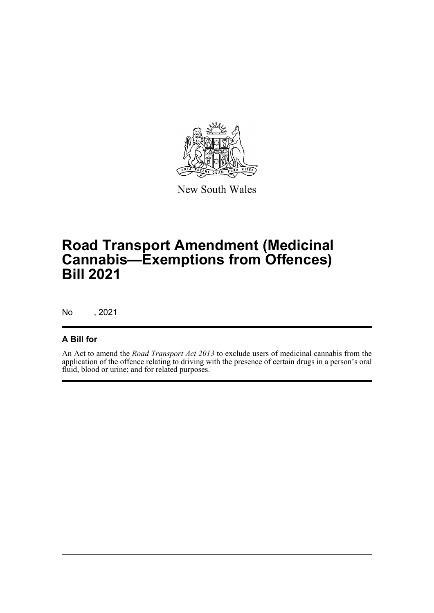

New South Wales

# **Road Transport Amendment (Medicinal Cannabis—Exemptions from Offences) Bill 2021**

No , 2021

#### **A Bill for**

An Act to amend the *Road Transport Act 2013* to exclude users of medicinal cannabis from the application of the offence relating to driving with the presence of certain drugs in a person's oral fluid, blood or urine; and for related purposes.